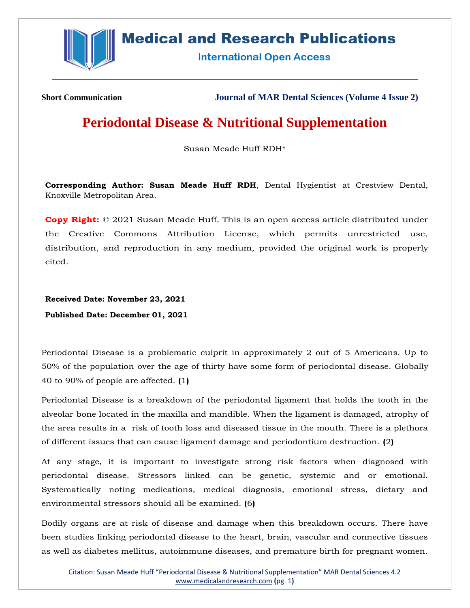

# **Medical and Research Publications**

**International Open Access** 

**Short Communication Journal of MAR Dental Sciences (Volume 4 Issue 2)**

# **Periodontal Disease & Nutritional Supplementation**

Susan Meade Huff RDH\*

**Corresponding Author: Susan Meade Huff RDH**, Dental Hygientist at Crestview Dental, Knoxville Metropolitan Area.

**Copy Right:** © 2021 Susan Meade Huff. This is an open access article distributed under the Creative Commons Attribution License, which permits unrestricted use, distribution, and reproduction in any medium, provided the original work is properly cited.

**Received Date: November 23, 2021 Published Date: December 01, 2021**

Periodontal Disease is a problematic culprit in approximately 2 out of 5 Americans. Up to 50% of the population over the age of thirty have some form of periodontal disease. Globally 40 to 90% of people are affected. **(**1**)**

Periodontal Disease is a breakdown of the periodontal ligament that holds the tooth in the alveolar bone located in the maxilla and mandible. When the ligament is damaged, atrophy of the area results in a risk of tooth loss and diseased tissue in the mouth. There is a plethora of different issues that can cause ligament damage and periodontium destruction. **(**2**)**

At any stage, it is important to investigate strong risk factors when diagnosed with periodontal disease. Stressors linked can be genetic, systemic and or emotional. Systematically noting medications, medical diagnosis, emotional stress, dietary and environmental stressors should all be examined. **(**6**)**

Bodily organs are at risk of disease and damage when this breakdown occurs. There have been studies linking periodontal disease to the heart, brain, vascular and connective tissues as well as diabetes mellitus, autoimmune diseases, and premature birth for pregnant women.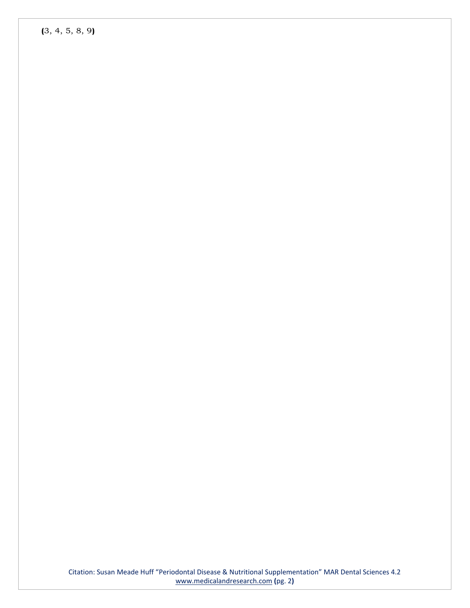**(**3, 4, 5, 8, 9**)**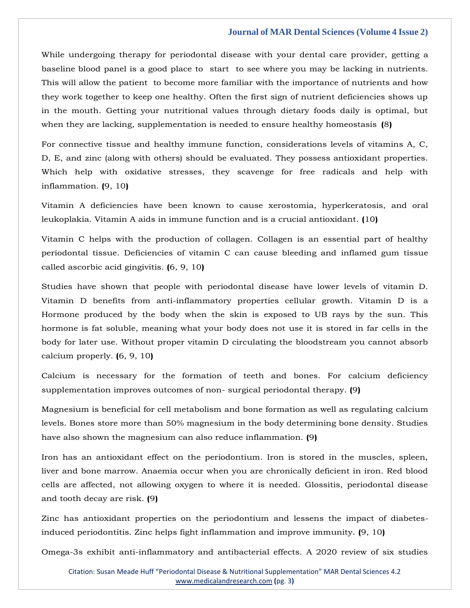While undergoing therapy for periodontal disease with your dental care provider, getting a baseline blood panel is a good place to start to see where you may be lacking in nutrients. This will allow the patient to become more familiar with the importance of nutrients and how they work together to keep one healthy. Often the first sign of nutrient deficiencies shows up in the mouth. Getting your nutritional values through dietary foods daily is optimal, but when they are lacking, supplementation is needed to ensure healthy homeostasis **(**8**)**

For connective tissue and healthy immune function, considerations levels of vitamins A, C, D, E, and zinc (along with others) should be evaluated. They possess antioxidant properties. Which help with oxidative stresses, they scavenge for free radicals and help with inflammation. **(**9, 10**)**

Vitamin A deficiencies have been known to cause xerostomia, hyperkeratosis, and oral leukoplakia. Vitamin A aids in immune function and is a crucial antioxidant. **(**10**)**

Vitamin C helps with the production of collagen. Collagen is an essential part of healthy periodontal tissue. Deficiencies of vitamin C can cause bleeding and inflamed gum tissue called ascorbic acid gingivitis. **(**6, 9, 10**)**

Studies have shown that people with periodontal disease have lower levels of vitamin D. Vitamin D benefits from anti-inflammatory properties cellular growth. Vitamin D is a Hormone produced by the body when the skin is exposed to UB rays by the sun. This hormone is fat soluble, meaning what your body does not use it is stored in far cells in the body for later use. Without proper vitamin D circulating the bloodstream you cannot absorb calcium properly. **(**6, 9, 10**)**

Calcium is necessary for the formation of teeth and bones. For calcium deficiency supplementation improves outcomes of non- surgical periodontal therapy. **(**9**)**

Magnesium is beneficial for cell metabolism and bone formation as well as regulating calcium levels. Bones store more than 50% magnesium in the body determining bone density. Studies have also shown the magnesium can also reduce inflammation. **(**9**)**

Iron has an antioxidant effect on the periodontium. Iron is stored in the muscles, spleen, liver and bone marrow. Anaemia occur when you are chronically deficient in iron. Red blood cells are affected, not allowing oxygen to where it is needed. Glossitis, periodontal disease and tooth decay are risk. **(**9**)**

Zinc has antioxidant properties on the periodontium and lessens the impact of diabetesinduced periodontitis. Zinc helps fight inflammation and improve immunity. **(**9, 10**)**

Omega-3s exhibit anti-inflammatory and antibacterial effects. A 2020 review of six studies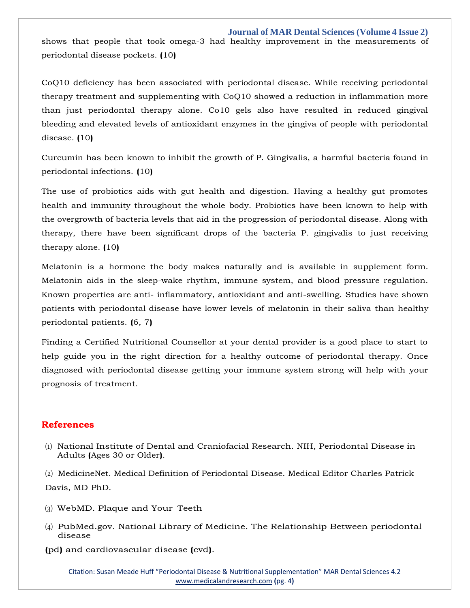shows that people that took omega-3 had healthy improvement in the measurements of periodontal disease pockets. **(**10**)**

CoQ10 deficiency has been associated with periodontal disease. While receiving periodontal therapy treatment and supplementing with CoQ10 showed a reduction in inflammation more than just periodontal therapy alone. Co10 gels also have resulted in reduced gingival bleeding and elevated levels of antioxidant enzymes in the gingiva of people with periodontal disease. **(**10**)**

Curcumin has been known to inhibit the growth of P. Gingivalis, a harmful bacteria found in periodontal infections. **(**10**)**

The use of probiotics aids with gut health and digestion. Having a healthy gut promotes health and immunity throughout the whole body. Probiotics have been known to help with the overgrowth of bacteria levels that aid in the progression of periodontal disease. Along with therapy, there have been significant drops of the bacteria P. gingivalis to just receiving therapy alone. **(**10**)**

Melatonin is a hormone the body makes naturally and is available in supplement form. Melatonin aids in the sleep-wake rhythm, immune system, and blood pressure regulation. Known properties are anti- inflammatory, antioxidant and anti-swelling. Studies have shown patients with periodontal disease have lower levels of melatonin in their saliva than healthy periodontal patients. **(**6, 7**)**

Finding a Certified Nutritional Counsellor at your dental provider is a good place to start to help guide you in the right direction for a healthy outcome of periodontal therapy. Once diagnosed with periodontal disease getting your immune system strong will help with your prognosis of treatment.

## **References**

(1) [National Institute of Dental and Craniofacial Research. NIH, Periodontal Disease in](https://www.google.com/search?q=periodontal%2Bdisease%2Bin%2Badults&oq=Periodontal%2BDisease%2Bin%2BAdults&aqs=chrome.0.0i512j0i22i30l9.534j0j7&sourceid=chrome&ie=UTF-8) [Adults](https://www.google.com/search?q=periodontal%2Bdisease%2Bin%2Badults&oq=Periodontal%2BDisease%2Bin%2BAdults&aqs=chrome.0.0i512j0i22i30l9.534j0j7&sourceid=chrome&ie=UTF-8) **(**[Ages 30](https://www.google.com/search?q=periodontal%2Bdisease%2Bin%2Badults&oq=Periodontal%2BDisease%2Bin%2BAdults&aqs=chrome.0.0i512j0i22i30l9.534j0j7&sourceid=chrome&ie=UTF-8) [or Older](https://www.google.com/search?q=periodontal%2Bdisease%2Bin%2Badults&oq=Periodontal%2BDisease%2Bin%2BAdults&aqs=chrome.0.0i512j0i22i30l9.534j0j7&sourceid=chrome&ie=UTF-8)**)**.

(2) [MedicineNet. Medical Definition of Periodontal Disease. Medical Editor Charles Patrick](https://www.google.com/search?q=Medical%2BDefinition%2Bof%2BPeriodontal%2BDisease&sxsrf=AOaemvJTVyqygzBNXrwsCNMLyWY9S_T9Jg%3A1637816544680&ei=4BifYb3sKIiQseMP1_O5uAw&ved=0ahUKEwi93OiK3rL0AhUISGwGHdd5DscQ4dUDCA4&uact=5&oq=Medical%2BDefinition%2Bof%2BPeriodontal%2BDisease&gs_lcp=Cgdnd3Mtd2l6EAMyBggAEBYQHjIGCAAQFhAeOgcIIxDqAhAnSgQIQRgAUOgFWOgFYOkJaAFwAngAgAHxAogB8QKSAQMzLTGYAQCgAQGgAQKwAQrAAQE&sclient=gws-wiz)  [Davis,](https://www.google.com/search?q=Medical%2BDefinition%2Bof%2BPeriodontal%2BDisease&sxsrf=AOaemvJTVyqygzBNXrwsCNMLyWY9S_T9Jg%3A1637816544680&ei=4BifYb3sKIiQseMP1_O5uAw&ved=0ahUKEwi93OiK3rL0AhUISGwGHdd5DscQ4dUDCA4&uact=5&oq=Medical%2BDefinition%2Bof%2BPeriodontal%2BDisease&gs_lcp=Cgdnd3Mtd2l6EAMyBggAEBYQHjIGCAAQFhAeOgcIIxDqAhAnSgQIQRgAUOgFWOgFYOkJaAFwAngAgAHxAogB8QKSAQMzLTGYAQCgAQGgAQKwAQrAAQE&sclient=gws-wiz) [MD](https://www.google.com/search?q=Medical%2BDefinition%2Bof%2BPeriodontal%2BDisease&sxsrf=AOaemvJTVyqygzBNXrwsCNMLyWY9S_T9Jg%3A1637816544680&ei=4BifYb3sKIiQseMP1_O5uAw&ved=0ahUKEwi93OiK3rL0AhUISGwGHdd5DscQ4dUDCA4&uact=5&oq=Medical%2BDefinition%2Bof%2BPeriodontal%2BDisease&gs_lcp=Cgdnd3Mtd2l6EAMyBggAEBYQHjIGCAAQFhAeOgcIIxDqAhAnSgQIQRgAUOgFWOgFYOkJaAFwAngAgAHxAogB8QKSAQMzLTGYAQCgAQGgAQKwAQrAAQE&sclient=gws-wiz) [PhD.](https://www.google.com/search?q=Medical%2BDefinition%2Bof%2BPeriodontal%2BDisease&sxsrf=AOaemvJTVyqygzBNXrwsCNMLyWY9S_T9Jg%3A1637816544680&ei=4BifYb3sKIiQseMP1_O5uAw&ved=0ahUKEwi93OiK3rL0AhUISGwGHdd5DscQ4dUDCA4&uact=5&oq=Medical%2BDefinition%2Bof%2BPeriodontal%2BDisease&gs_lcp=Cgdnd3Mtd2l6EAMyBggAEBYQHjIGCAAQFhAeOgcIIxDqAhAnSgQIQRgAUOgFWOgFYOkJaAFwAngAgAHxAogB8QKSAQMzLTGYAQCgAQGgAQKwAQrAAQE&sclient=gws-wiz)

- (3) [WebMD. Plaque and Your](https://www.google.com/search?q=Plaque%2Band%2BYour%2BTeeth%2BWebMD&sxsrf=AOaemvJ6I_5GFL5PhIuMWydv5x3-a79jMw%3A1637816612775&ei=JBmfYcTnLr2hseMPq-mi6AU&ved=0ahUKEwjEiaWr3rL0AhW9UGwGHau0CF0Q4dUDCA4&uact=5&oq=Plaque%2Band%2BYour%2BTeeth%2BWebMD&gs_lcp=Cgdnd3Mtd2l6EAMyBQghEKABMgUIIRCgATIFCCEQoAEyBQghEKABOgcIABBHELADOgYIABAWEB5KBQg8EgExSgQIQRgAUJ0BWJkIYL4OaAFwAngAgAGdAogB6AOSAQMyLTKYAQCgAQGgAQLIAQjAAQE&sclient=gws-wiz) Teeth
- (4) [PubMed.gov. National Library of Medicine. The Relationship Between periodontal](https://www.google.com/search?q=The%2BRelationship%2BBetween%2Bperiodontal%2Bdisease%2B%28pd%29%2Band%2Bcardiovascular%2Bdisease&sxsrf=AOaemvIIGUJI1xRTE0sPFo8hJWzSWR18zw%3A1637816635139&ei=OxmfYYfyB9-bseMPpP27gAE&ved=0ahUKEwjH-_m13rL0AhXfTWwGHaT-DhAQ4dUDCA4&uact=5&oq=The%2BRelationship%2BBetween%2Bperiodontal%2Bdisease%2B%28pd%29%2Band%2Bcardiovascular%2Bdisease&gs_lcp=Cgdnd3Mtd2l6EAM6BwgjEOoCECdKBAhBGABQlANYlANg3QZoAXACeACAAdwBiAHcAZIBAzItMZgBAKABAaABArABCsABAQ&sclient=gws-wiz) [disease](https://www.google.com/search?q=The%2BRelationship%2BBetween%2Bperiodontal%2Bdisease%2B%28pd%29%2Band%2Bcardiovascular%2Bdisease&sxsrf=AOaemvIIGUJI1xRTE0sPFo8hJWzSWR18zw%3A1637816635139&ei=OxmfYYfyB9-bseMPpP27gAE&ved=0ahUKEwjH-_m13rL0AhXfTWwGHaT-DhAQ4dUDCA4&uact=5&oq=The%2BRelationship%2BBetween%2Bperiodontal%2Bdisease%2B%28pd%29%2Band%2Bcardiovascular%2Bdisease&gs_lcp=Cgdnd3Mtd2l6EAM6BwgjEOoCECdKBAhBGABQlANYlANg3QZoAXACeACAAdwBiAHcAZIBAzItMZgBAKABAaABArABCsABAQ&sclient=gws-wiz)
- **(**pd**)** [and](https://www.google.com/search?q=The%2BRelationship%2BBetween%2Bperiodontal%2Bdisease%2B%28pd%29%2Band%2Bcardiovascular%2Bdisease&sxsrf=AOaemvIIGUJI1xRTE0sPFo8hJWzSWR18zw%3A1637816635139&ei=OxmfYYfyB9-bseMPpP27gAE&ved=0ahUKEwjH-_m13rL0AhXfTWwGHaT-DhAQ4dUDCA4&uact=5&oq=The%2BRelationship%2BBetween%2Bperiodontal%2Bdisease%2B%28pd%29%2Band%2Bcardiovascular%2Bdisease&gs_lcp=Cgdnd3Mtd2l6EAM6BwgjEOoCECdKBAhBGABQlANYlANg3QZoAXACeACAAdwBiAHcAZIBAzItMZgBAKABAaABArABCsABAQ&sclient=gws-wiz) [cardiovascular disease](https://www.google.com/search?q=The%2BRelationship%2BBetween%2Bperiodontal%2Bdisease%2B%28pd%29%2Band%2Bcardiovascular%2Bdisease&sxsrf=AOaemvIIGUJI1xRTE0sPFo8hJWzSWR18zw%3A1637816635139&ei=OxmfYYfyB9-bseMPpP27gAE&ved=0ahUKEwjH-_m13rL0AhXfTWwGHaT-DhAQ4dUDCA4&uact=5&oq=The%2BRelationship%2BBetween%2Bperiodontal%2Bdisease%2B%28pd%29%2Band%2Bcardiovascular%2Bdisease&gs_lcp=Cgdnd3Mtd2l6EAM6BwgjEOoCECdKBAhBGABQlANYlANg3QZoAXACeACAAdwBiAHcAZIBAzItMZgBAKABAaABArABCsABAQ&sclient=gws-wiz) **(**cvd**)**.

Citation: Susan Meade Huff "Periodontal Disease & Nutritional Supplementation" MAR Dental Sciences 4.2 [www.medicalandresearch.com](http://www.medicalandresearch.com/) **(**pg. 4**)**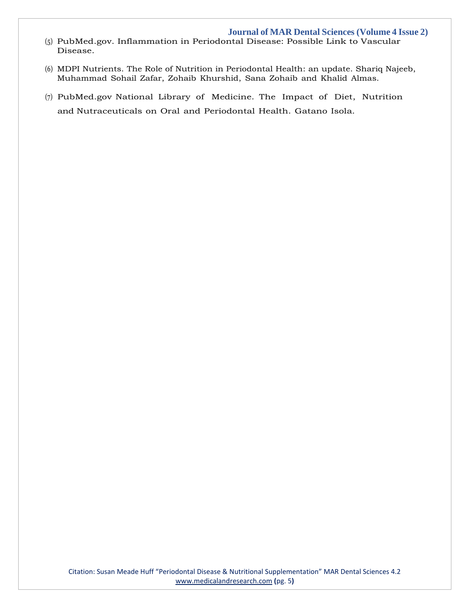- (5) [PubMed.gov. Inflammation in Periodontal Disease: Possible Link to Vascular](https://www.google.com/search?q=Inflammation%2Bin%2BPeriodontal%2BDisease%3A%2BPossible%2BLink%2Bto%2BVascular%2BDisease&sxsrf=AOaemvLCmUklLRlE5FNyBzDDuu5ofJMD7g%3A1637816656296&ei=UBmfYZ2iEeGLseMPwYSbKA&ved=0ahUKEwidioXA3rL0AhXhRWwGHUHCBgUQ4dUDCA4&uact=5&oq=Inflammation%2Bin%2BPeriodontal%2BDisease%3A%2BPossible%2BLink%2Bto%2BVascular%2BDisease&gs_lcp=Cgdnd3Mtd2l6EAMyBggAEBYQHjoHCCMQ6gIQJ0oECEEYAFCGBliGBmCmCWgBcAJ4AIABgQKIAYECkgEDMi0xmAEAoAEBoAECsAEKwAEB&sclient=gws-wiz) [Disease.](https://www.google.com/search?q=Inflammation%2Bin%2BPeriodontal%2BDisease%3A%2BPossible%2BLink%2Bto%2BVascular%2BDisease&sxsrf=AOaemvLCmUklLRlE5FNyBzDDuu5ofJMD7g%3A1637816656296&ei=UBmfYZ2iEeGLseMPwYSbKA&ved=0ahUKEwidioXA3rL0AhXhRWwGHUHCBgUQ4dUDCA4&uact=5&oq=Inflammation%2Bin%2BPeriodontal%2BDisease%3A%2BPossible%2BLink%2Bto%2BVascular%2BDisease&gs_lcp=Cgdnd3Mtd2l6EAMyBggAEBYQHjoHCCMQ6gIQJ0oECEEYAFCGBliGBmCmCWgBcAJ4AIABgQKIAYECkgEDMi0xmAEAoAEBoAECsAEKwAEB&sclient=gws-wiz)
- (6) MDPI Nutrients. [The Role of Nutrition in Periodontal Health:](https://www.google.com/search?q=The%2BRole%2Bof%2BNutrition%2Bin%2BPeriodontal%2BHealth&sxsrf=AOaemvL6MswuMpTE_qJPGFj2FtRaPzvdDg%3A1637816689869&ei=cRmfYbTLNKeTseMP49uj-AE&ved=0ahUKEwj0x4bQ3rL0AhWnSWwGHePtCB8Q4dUDCA4&uact=5&oq=The%2BRole%2Bof%2BNutrition%2Bin%2BPeriodontal%2BHealth&gs_lcp=Cgdnd3Mtd2l6EAMyBQgAEIAEMgYIABAWEB46BwgjEOoCECdKBAhBGABQ8ARY8ARgjgdoAXAAeACAAYcCiAGHApIBAzItMZgBAKABAaABArABCsABAQ&sclient=gws-wiz) an update. Shariq Najeeb, Muhammad Sohail Zafar, Zohaib Khurshid, Sana Zohaib and Khalid Almas.
- (7) [PubMed.gov](https://www.google.com/search?q=The%2BImpact%2Bof%2BDiet%2C%2BNutrition%2Band%2BNutraceuticals%2Bon%2BOral%2Band%2BPeriodontal%2BHealth&sxsrf=AOaemvLeiASjY3oMN2IYy_TEPMcplK75Uw%3A1637816710941&ei=hhmfYYTmOKeZseMPz4SFyA4&ved=0ahUKEwiEwYza3rL0AhWnTGwGHU9CAekQ4dUDCA4&uact=5&oq=The%2BImpact%2Bof%2BDiet%2C%2BNutrition%2Band%2BNutraceuticals%2Bon%2BOral%2Band%2BPeriodontal%2BHealth&gs_lcp=Cgdnd3Mtd2l6EAM6BwgjEOoCECdKBAhBGABQ-QVY-QVgnQhoAXACeACAAcUBiAHFAZIBAzAuMZgBAKABAaABArABCsABAQ&sclient=gws-wiz) National Library of Medicine. The Impact of Diet, Nutrition [and](https://www.google.com/search?q=The%2BImpact%2Bof%2BDiet%2C%2BNutrition%2Band%2BNutraceuticals%2Bon%2BOral%2Band%2BPeriodontal%2BHealth&sxsrf=AOaemvLeiASjY3oMN2IYy_TEPMcplK75Uw%3A1637816710941&ei=hhmfYYTmOKeZseMPz4SFyA4&ved=0ahUKEwiEwYza3rL0AhWnTGwGHU9CAekQ4dUDCA4&uact=5&oq=The%2BImpact%2Bof%2BDiet%2C%2BNutrition%2Band%2BNutraceuticals%2Bon%2BOral%2Band%2BPeriodontal%2BHealth&gs_lcp=Cgdnd3Mtd2l6EAM6BwgjEOoCECdKBAhBGABQ-QVY-QVgnQhoAXACeACAAcUBiAHFAZIBAzAuMZgBAKABAaABArABCsABAQ&sclient=gws-wiz) [Nutraceuticals](https://www.google.com/search?q=The%2BImpact%2Bof%2BDiet%2C%2BNutrition%2Band%2BNutraceuticals%2Bon%2BOral%2Band%2BPeriodontal%2BHealth&sxsrf=AOaemvLeiASjY3oMN2IYy_TEPMcplK75Uw%3A1637816710941&ei=hhmfYYTmOKeZseMPz4SFyA4&ved=0ahUKEwiEwYza3rL0AhWnTGwGHU9CAekQ4dUDCA4&uact=5&oq=The%2BImpact%2Bof%2BDiet%2C%2BNutrition%2Band%2BNutraceuticals%2Bon%2BOral%2Band%2BPeriodontal%2BHealth&gs_lcp=Cgdnd3Mtd2l6EAM6BwgjEOoCECdKBAhBGABQ-QVY-QVgnQhoAXACeACAAcUBiAHFAZIBAzAuMZgBAKABAaABArABCsABAQ&sclient=gws-wiz) on Oral and [Periodontal](https://www.google.com/search?q=The%2BImpact%2Bof%2BDiet%2C%2BNutrition%2Band%2BNutraceuticals%2Bon%2BOral%2Band%2BPeriodontal%2BHealth&sxsrf=AOaemvLeiASjY3oMN2IYy_TEPMcplK75Uw%3A1637816710941&ei=hhmfYYTmOKeZseMPz4SFyA4&ved=0ahUKEwiEwYza3rL0AhWnTGwGHU9CAekQ4dUDCA4&uact=5&oq=The%2BImpact%2Bof%2BDiet%2C%2BNutrition%2Band%2BNutraceuticals%2Bon%2BOral%2Band%2BPeriodontal%2BHealth&gs_lcp=Cgdnd3Mtd2l6EAM6BwgjEOoCECdKBAhBGABQ-QVY-QVgnQhoAXACeACAAcUBiAHFAZIBAzAuMZgBAKABAaABArABCsABAQ&sclient=gws-wiz) Health. Gatano Isola.